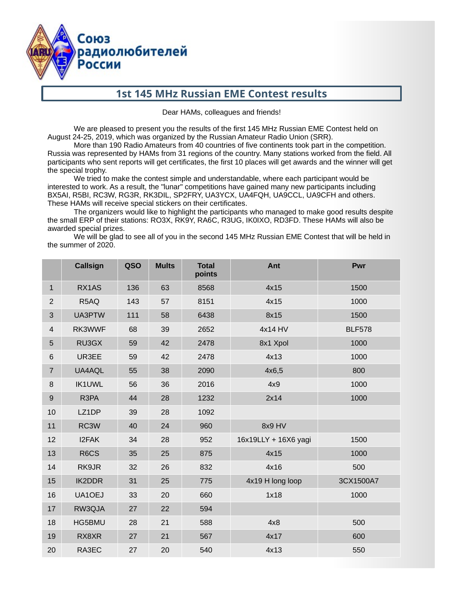

# **1st 145 MHz Russian EME Contest results**

Dear HAMs, colleagues and friends!

We are pleased to present you the results of the first 145 MHz Russian EME Contest held on August 24-25, 2019, which was organized by the Russian Amateur Radio Union (SRR).

More than 190 Radio Amateurs from 40 countries of five continents took part in the competition. Russia was represented by HAMs from 31 regions of the country. Many stations worked from the field. All participants who sent reports will get certificates, the first 10 places will get awards and the winner will get the special trophy.

We tried to make the contest simple and understandable, where each participant would be interested to work. As a result, the "lunar" competitions have gained many new participants including BX5AI, R5BI, RC3W, RG3R, RK3DIL, SP2FRY, UA3YCX, UA4FQH, UA9CCL, UA9CFH and others. These HAMs will receive special stickers on their certificates.

The organizers would like to highlight the participants who managed to make good results despite the small ERP of their stations: RO3X, RK9Y, RA6C, R3UG, IK0IXO, RD3FD. These HAMs will also be awarded special prizes.

We will be glad to see all of you in the second 145 MHz Russian EME Contest that will be held in the summer of 2020.

|                | Callsign          | <b>QSO</b> | <b>Mults</b> | <b>Total</b><br>points | Ant                  | Pwr           |
|----------------|-------------------|------------|--------------|------------------------|----------------------|---------------|
| $\mathbf{1}$   | RX1AS             | 136        | 63           | 8568                   | 4x15                 | 1500          |
| $\overline{2}$ | R5AQ              | 143        | 57           | 8151                   | 4x15                 | 1000          |
| 3              | UA3PTW            | 111        | 58           | 6438                   | 8x15                 | 1500          |
| $\overline{4}$ | RK3WWF            | 68         | 39           | 2652                   | 4x14 HV              | <b>BLF578</b> |
| 5              | RU3GX             | 59         | 42           | 2478                   | 8x1 Xpol             | 1000          |
| 6              | UR3EE             | 59         | 42           | 2478                   | 4x13                 | 1000          |
| $\overline{7}$ | UA4AQL            | 55         | 38           | 2090                   | 4x6,5                | 800           |
| 8              | <b>IK1UWL</b>     | 56         | 36           | 2016                   | 4x9                  | 1000          |
| $9\,$          | R3PA              | 44         | 28           | 1232                   | 2x14                 | 1000          |
| 10             | LZ1DP             | 39         | 28           | 1092                   |                      |               |
| 11             | RC3W              | 40         | 24           | 960                    | 8x9 HV               |               |
| 12             | I2FAK             | 34         | 28           | 952                    | 16x19LLY + 16X6 yagi | 1500          |
| 13             | R <sub>6</sub> CS | 35         | 25           | 875                    | 4x15                 | 1000          |
| 14             | RK9JR             | 32         | 26           | 832                    | 4x16                 | 500           |
| 15             | <b>IK2DDR</b>     | 31         | 25           | 775                    | 4x19 H long loop     | 3CX1500A7     |
| 16             | UA1OEJ            | 33         | 20           | 660                    | 1x18                 | 1000          |
| 17             | RW3QJA            | 27         | 22           | 594                    |                      |               |
| 18             | HG5BMU            | 28         | 21           | 588                    | 4x8                  | 500           |
| 19             | RX8XR             | 27         | 21           | 567                    | 4x17                 | 600           |
| 20             | RA3EC             | 27         | 20           | 540                    | 4x13                 | 550           |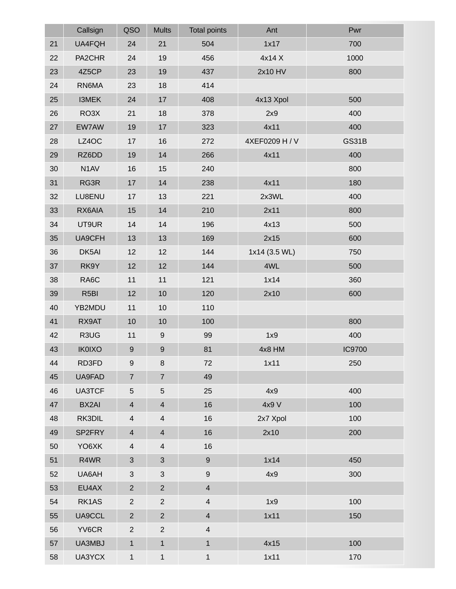|    | Callsign          | <b>QSO</b>               | <b>Mults</b>             | <b>Total points</b>      | Ant            | Pwr           |
|----|-------------------|--------------------------|--------------------------|--------------------------|----------------|---------------|
| 21 | UA4FQH            | 24                       | 21                       | 504                      | 1x17           | 700           |
| 22 | PA2CHR            | 24                       | 19                       | 456                      | 4x14 X         | 1000          |
| 23 | 4Z5CP             | 23                       | 19                       | 437                      | 2x10 HV        | 800           |
| 24 | RN6MA             | 23                       | 18                       | 414                      |                |               |
| 25 | I3MEK             | 24                       | 17                       | 408                      | 4x13 Xpol      | 500           |
| 26 | RO3X              | 21                       | 18                       | 378                      | 2x9            | 400           |
| 27 | EW7AW             | 19                       | 17                       | 323                      | 4x11           | 400           |
| 28 | LZ4OC             | 17                       | 16                       | 272                      | 4XEF0209 H / V | GS31B         |
| 29 | RZ6DD             | 19                       | 14                       | 266                      | 4x11           | 400           |
| 30 | N1AV              | 16                       | 15                       | 240                      |                | 800           |
| 31 | RG3R              | 17                       | 14                       | 238                      | 4x11           | 180           |
| 32 | LU8ENU            | 17                       | 13                       | 221                      | 2x3WL          | 400           |
| 33 | RX6AIA            | 15                       | 14                       | 210                      | 2x11           | 800           |
| 34 | UT9UR             | $14\,$                   | 14                       | 196                      | 4x13           | 500           |
| 35 | UA9CFH            | 13                       | 13                       | 169                      | 2x15           | 600           |
| 36 | DK5AI             | 12                       | 12                       | 144                      | 1x14 (3.5 WL)  | 750           |
| 37 | RK9Y              | 12                       | 12                       | 144                      | 4WL            | 500           |
| 38 | RA <sub>6</sub> C | 11                       | 11                       | 121                      | 1x14           | 360           |
| 39 | R <sub>5</sub> BI | 12                       | 10                       | 120                      | 2x10           | 600           |
| 40 | YB2MDU            | $11\,$                   | 10                       | 110                      |                |               |
| 41 | RX9AT             | 10                       | 10                       | 100                      |                | 800           |
| 42 | R3UG              | $11\,$                   | 9                        | 99                       | 1x9            | 400           |
| 43 | <b>IK0IXO</b>     | 9                        | 9                        | 81                       | 4x8 HM         | <b>IC9700</b> |
| 44 | RD3FD             | 9                        | 8                        | 72                       | 1x11           | 250           |
| 45 | UA9FAD            | $\overline{7}$           | $\overline{7}$           | 49                       |                |               |
| 46 | <b>UA3TCF</b>     | 5                        | 5                        | 25                       | 4x9            | 400           |
| 47 | BX2AI             | $\overline{\mathcal{A}}$ | $\overline{\mathcal{L}}$ | 16                       | 4x9 V          | 100           |
| 48 | RK3DIL            | 4                        | $\sqrt{4}$               | 16                       | 2x7 Xpol       | 100           |
| 49 | SP2FRY            | 4                        | $\overline{\mathcal{L}}$ | 16                       | 2x10           | 200           |
| 50 | YO6XK             | $\overline{4}$           | $\overline{\mathcal{A}}$ | 16                       |                |               |
| 51 | R4WR              | 3                        | 3                        | $\boldsymbol{9}$         | 1x14           | 450           |
| 52 | UA6AH             | 3                        | 3                        | $\boldsymbol{9}$         | 4x9            | 300           |
| 53 | EU4AX             | $\overline{2}$           | $\overline{2}$           | $\overline{\mathcal{A}}$ |                |               |
| 54 | RK1AS             | $\overline{c}$           | $\overline{c}$           | $\overline{4}$           | 1x9            | 100           |
| 55 | UA9CCL            | $\overline{2}$           | $\overline{2}$           | $\overline{\mathcal{A}}$ | 1x11           | 150           |
| 56 | YV6CR             | $\overline{2}$           | $\overline{c}$           | $\overline{\mathcal{L}}$ |                |               |
| 57 | UA3MBJ            | $\mathbf{1}$             | $\mathbf{1}$             | $\mathbf 1$              | 4x15           | 100           |
| 58 | UA3YCX            | $\mathbf{1}$             | $\mathbf 1$              | $\mathbf 1$              | 1x11           | 170           |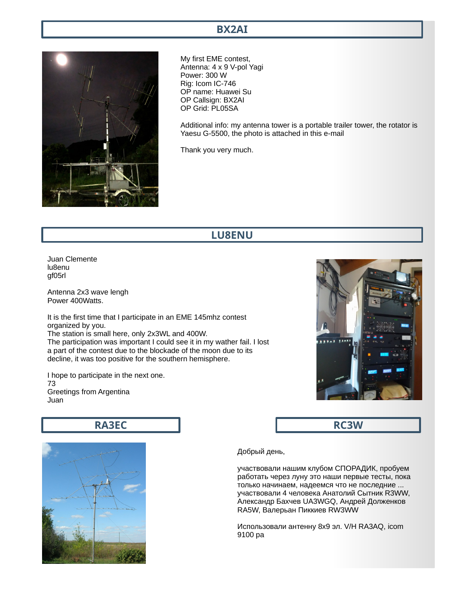#### **BX2AI**



My first EME contest, Antenna: 4 x 9 V-pol Yagi Power: 300 W Rig: Icom IC-746 OP name: Huawei Su OP Callsign: BX2AI OP Grid: PL05SA

Additional info: my antenna tower is a portable trailer tower, the rotator is Yaesu G-5500, the photo is attached in this e-mail

Thank you very much.

#### **LU8ENU**

Juan Clemente lu8enu gf05rl

Antenna 2x3 wave lengh Power 400Watts.

It is the first time that I participate in an EME 145mhz contest organized by you. The station is small here, only 2x3WL and 400W. The participation was important I could see it in my wather fail. I lost a part of the contest due to the blockade of the moon due to its decline, it was too positive for the southern hemisphere.

I hope to participate in the next one. 73 Greetings from Argentina Juan

**RA3EC**



**RC3W**



Добрый день,

участвовали нашим клубом СПОРАДИК, пробуем работать через луну это наши первые тесты, пока только начинаем, надеемся что не последние ... участвовали 4 человека Анатолий Сытник R3WW, Александр Бахчев UA3WGQ, Андрей Долженков RA5W, Валерьан Пиккиев RW3WW

Использовали антенну 8х9 эл. V/H RA3AQ, icom 9100 pa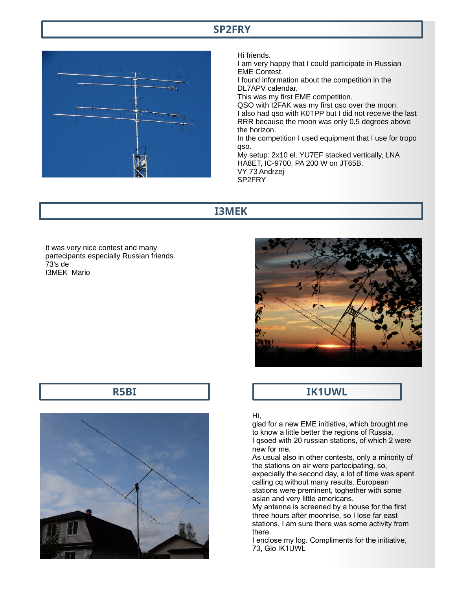#### **SP2FRY**



Hi friends.

I am very happy that I could participate in Russian EME Contest. I found information about the competition in the DL7APV calendar. This was my first EME competition. QSO with I2FAK was my first qso over the moon. I also had qso with K0TPP but I did not receive the last RRR because the moon was only 0.5 degrees above the horizon.

In the competition I used equipment that I use for tropo qso.

My setup: 2x10 el. YU7EF stacked vertically, LNA HA8ET, IC-9700, PA 200 W on JT65B. VY 73 Andrzej SP2FRY

### **I3MEK**

It was very nice contest and many partecipants especially Russian friends. 73's de I3MEK Mario



# **IK1UWL**

#### Hi,

glad for a new EME initiative, which brought me to know a little better the regions of Russia. I qsoed with 20 russian stations, of which 2 were new for me.

As usual also in other contests, only a minority of the stations on air were partecipating, so, expecially the second day, a lot of time was spent calling cq without many results. European stations were preminent, toghether with some asian and very little americans.

My antenna is screened by a house for the first three hours after moonrise, so I lose far east stations, I am sure there was some activity from there.

I enclose my log. Compliments for the initiative, 73, Gio IK1UWL